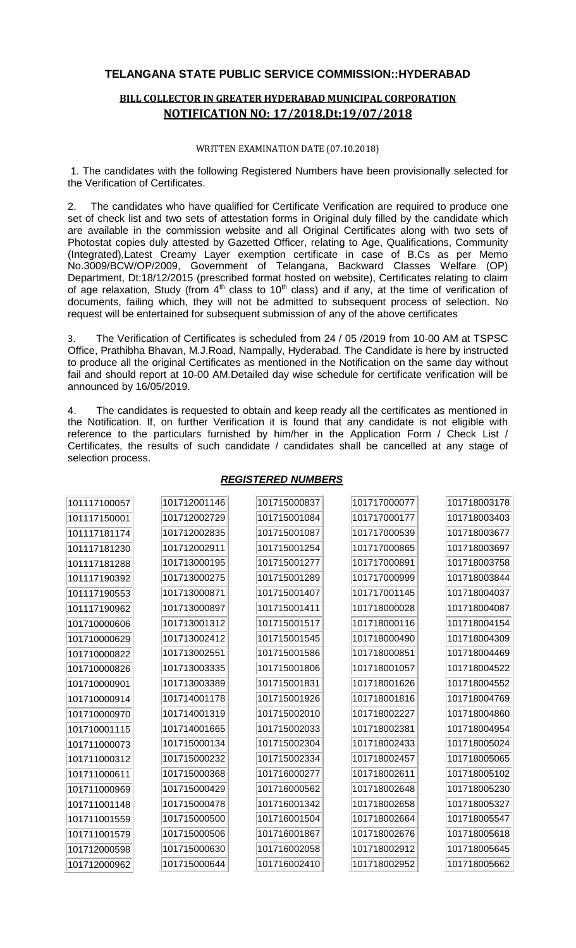## **TELANGANA STATE PUBLIC SERVICE COMMISSION::HYDERABAD**

## **BILL COLLECTOR IN GREATER HYDERABAD MUNICIPAL CORPORATION NOTIFICATION NO: 17/2018,Dt:19/07/2018**

## WRITTEN EXAMINATION DATE (07.10.2018)

1. The candidates with the following Registered Numbers have been provisionally selected for the Verification of Certificates.

2. The candidates who have qualified for Certificate Verification are required to produce one set of check list and two sets of attestation forms in Original duly filled by the candidate which are available in the commission website and all Original Certificates along with two sets of Photostat copies duly attested by Gazetted Officer, relating to Age, Qualifications, Community (Integrated),Latest Creamy Layer exemption certificate in case of B.Cs as per Memo No.3009/BCW/OP/2009, Government of Telangana, Backward Classes Welfare (OP) Department, Dt:18/12/2015 (prescribed format hosted on website), Certificates relating to claim of age relaxation, Study (from  $4<sup>th</sup>$  class to 10<sup>th</sup> class) and if any, at the time of verification of documents, failing which, they will not be admitted to subsequent process of selection. No request will be entertained for subsequent submission of any of the above certificates

3. The Verification of Certificates is scheduled from 24 / 05 /2019 from 10-00 AM at TSPSC Office, Prathibha Bhavan, M.J.Road, Nampally, Hyderabad. The Candidate is here by instructed to produce all the original Certificates as mentioned in the Notification on the same day without fail and should report at 10-00 AM.Detailed day wise schedule for certificate verification will be announced by 16/05/2019.

4. The candidates is requested to obtain and keep ready all the certificates as mentioned in the Notification. If, on further Verification it is found that any candidate is not eligible with reference to the particulars furnished by him/her in the Application Form / Check List / Certificates, the results of such candidate / candidates shall be cancelled at any stage of selection process.

| 101117100057 | 101712001146 | 101715000837 | 101717000077 | 101718003178 |
|--------------|--------------|--------------|--------------|--------------|
| 101117150001 | 101712002729 | 101715001084 | 101717000177 | 101718003403 |
| 101117181174 | 101712002835 | 101715001087 | 101717000539 | 101718003677 |
| 101117181230 | 101712002911 | 101715001254 | 101717000865 | 101718003697 |
| 101117181288 | 101713000195 | 101715001277 | 101717000891 | 101718003758 |
| 101117190392 | 101713000275 | 101715001289 | 101717000999 | 101718003844 |
| 101117190553 | 101713000871 | 101715001407 | 101717001145 | 101718004037 |
| 101117190962 | 101713000897 | 101715001411 | 101718000028 | 101718004087 |
| 101710000606 | 101713001312 | 101715001517 | 101718000116 | 101718004154 |
| 101710000629 | 101713002412 | 101715001545 | 101718000490 | 101718004309 |
| 101710000822 | 101713002551 | 101715001586 | 101718000851 | 101718004469 |
| 101710000826 | 101713003335 | 101715001806 | 101718001057 | 101718004522 |
| 101710000901 | 101713003389 | 101715001831 | 101718001626 | 101718004552 |
| 101710000914 | 101714001178 | 101715001926 | 101718001816 | 101718004769 |
| 101710000970 | 101714001319 | 101715002010 | 101718002227 | 101718004860 |
| 101710001115 | 101714001665 | 101715002033 | 101718002381 | 101718004954 |
| 101711000073 | 101715000134 | 101715002304 | 101718002433 | 101718005024 |
| 101711000312 | 101715000232 | 101715002334 | 101718002457 | 101718005065 |
| 101711000611 | 101715000368 | 101716000277 | 101718002611 | 101718005102 |
| 101711000969 | 101715000429 | 101716000562 | 101718002648 | 101718005230 |
| 101711001148 | 101715000478 | 101716001342 | 101718002658 | 101718005327 |
| 101711001559 | 101715000500 | 101716001504 | 101718002664 | 101718005547 |
| 101711001579 | 101715000506 | 101716001867 | 101718002676 | 101718005618 |
| 101712000598 | 101715000630 | 101716002058 | 101718002912 | 101718005645 |
| 101712000962 | 101715000644 | 101716002410 | 101718002952 | 101718005662 |

## *REGISTERED NUMBERS*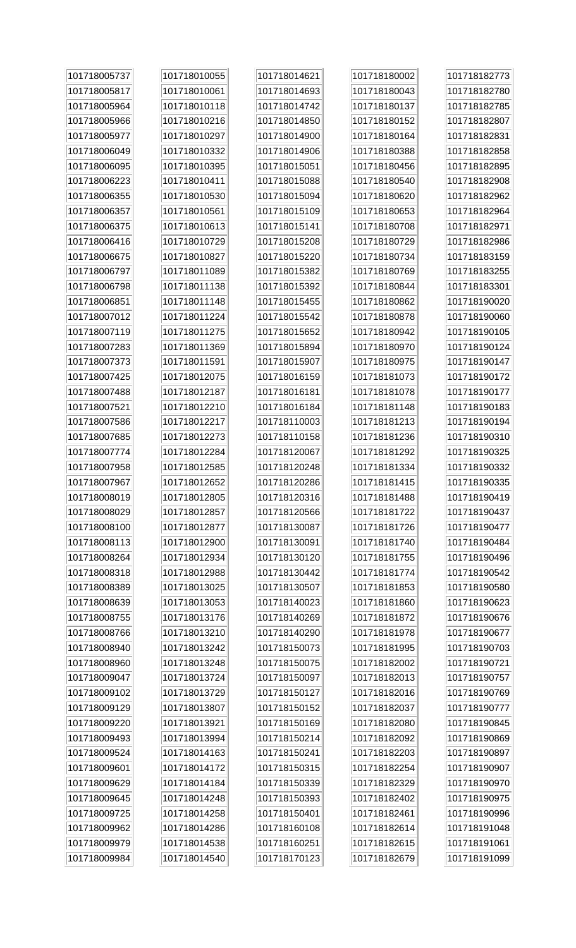| 101718005737 | 101718010055 | 101718014621 | 101718180002 | 101718182773 |
|--------------|--------------|--------------|--------------|--------------|
| 101718005817 | 101718010061 | 101718014693 | 101718180043 | 101718182780 |
| 101718005964 | 101718010118 | 101718014742 | 101718180137 | 101718182785 |
| 101718005966 | 101718010216 | 101718014850 | 101718180152 | 101718182807 |
| 101718005977 | 101718010297 | 101718014900 | 101718180164 | 101718182831 |
| 101718006049 | 101718010332 | 101718014906 | 101718180388 | 101718182858 |
| 101718006095 | 101718010395 | 101718015051 | 101718180456 | 101718182895 |
| 101718006223 | 101718010411 | 101718015088 | 101718180540 | 101718182908 |
| 101718006355 | 101718010530 | 101718015094 | 101718180620 | 101718182962 |
| 101718006357 | 101718010561 | 101718015109 | 101718180653 | 101718182964 |
| 101718006375 | 101718010613 | 101718015141 | 101718180708 | 101718182971 |
| 101718006416 | 101718010729 | 101718015208 | 101718180729 | 101718182986 |
| 101718006675 | 101718010827 | 101718015220 | 101718180734 | 101718183159 |
| 101718006797 | 101718011089 | 101718015382 | 101718180769 | 101718183255 |
| 101718006798 | 101718011138 | 101718015392 | 101718180844 | 101718183301 |
| 101718006851 | 101718011148 | 101718015455 | 101718180862 | 101718190020 |
| 101718007012 | 101718011224 | 101718015542 | 101718180878 | 101718190060 |
| 101718007119 | 101718011275 | 101718015652 | 101718180942 | 101718190105 |
| 101718007283 | 101718011369 | 101718015894 | 101718180970 | 101718190124 |
| 101718007373 | 101718011591 | 101718015907 | 101718180975 | 101718190147 |
| 101718007425 | 101718012075 | 101718016159 | 101718181073 | 101718190172 |
| 101718007488 | 101718012187 | 101718016181 | 101718181078 | 101718190177 |
| 101718007521 | 101718012210 | 101718016184 | 101718181148 | 101718190183 |
| 101718007586 | 101718012217 | 101718110003 | 101718181213 | 101718190194 |
| 101718007685 | 101718012273 | 101718110158 | 101718181236 | 101718190310 |
| 101718007774 | 101718012284 | 101718120067 | 101718181292 | 101718190325 |
| 101718007958 | 101718012585 | 101718120248 | 101718181334 | 101718190332 |
| 101718007967 | 101718012652 | 101718120286 | 101718181415 | 101718190335 |
| 101718008019 | 101718012805 | 101718120316 | 101718181488 | 101718190419 |
| 101718008029 | 101718012857 | 101718120566 | 101718181722 | 101718190437 |
| 101718008100 | 101718012877 | 101718130087 | 101718181726 | 101718190477 |
| 101718008113 | 101718012900 | 101718130091 | 101718181740 | 101718190484 |
| 101718008264 | 101718012934 | 101718130120 | 101718181755 | 101718190496 |
| 101718008318 | 101718012988 | 101718130442 | 101718181774 | 101718190542 |
| 101718008389 | 101718013025 | 101718130507 | 101718181853 | 101718190580 |
| 101718008639 | 101718013053 | 101718140023 | 101718181860 | 101718190623 |
| 101718008755 | 101718013176 | 101718140269 | 101718181872 | 101718190676 |
| 101718008766 | 101718013210 | 101718140290 | 101718181978 | 101718190677 |
| 101718008940 | 101718013242 | 101718150073 | 101718181995 | 101718190703 |
| 101718008960 | 101718013248 | 101718150075 | 101718182002 | 101718190721 |
| 101718009047 | 101718013724 | 101718150097 | 101718182013 | 101718190757 |
| 101718009102 | 101718013729 | 101718150127 | 101718182016 | 101718190769 |
| 101718009129 | 101718013807 | 101718150152 | 101718182037 | 101718190777 |
| 101718009220 | 101718013921 | 101718150169 | 101718182080 | 101718190845 |
| 101718009493 | 101718013994 | 101718150214 | 101718182092 | 101718190869 |
| 101718009524 | 101718014163 | 101718150241 | 101718182203 | 101718190897 |
| 101718009601 | 101718014172 | 101718150315 | 101718182254 | 101718190907 |
| 101718009629 | 101718014184 | 101718150339 | 101718182329 | 101718190970 |
| 101718009645 | 101718014248 | 101718150393 | 101718182402 | 101718190975 |
| 101718009725 | 101718014258 | 101718150401 | 101718182461 | 101718190996 |
| 101718009962 | 101718014286 | 101718160108 | 101718182614 | 101718191048 |
| 101718009979 | 101718014538 | 101718160251 | 101718182615 | 101718191061 |
| 101718009984 | 101718014540 | 101718170123 | 101718182679 | 101718191099 |